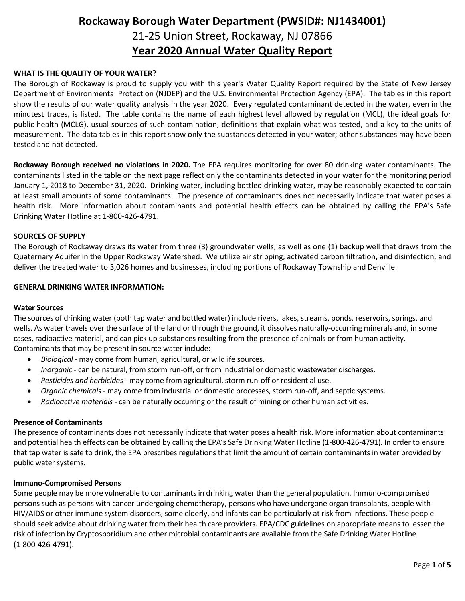# **Rockaway Borough Water Department (PWSID#: NJ1434001)** 21-25 Union Street, Rockaway, NJ 07866 **Year 2020 Annual Water Quality Report**

### **WHAT IS THE QUALITY OF YOUR WATER?**

The Borough of Rockaway is proud to supply you with this year's Water Quality Report required by the State of New Jersey Department of Environmental Protection (NJDEP) and the U.S. Environmental Protection Agency (EPA). The tables in this report show the results of our water quality analysis in the year 2020. Every regulated contaminant detected in the water, even in the minutest traces, is listed. The table contains the name of each highest level allowed by regulation (MCL), the ideal goals for public health (MCLG), usual sources of such contamination, definitions that explain what was tested, and a key to the units of measurement. The data tables in this report show only the substances detected in your water; other substances may have been tested and not detected.

**Rockaway Borough received no violations in 2020.** The EPA requires monitoring for over 80 drinking water contaminants. The contaminants listed in the table on the next page reflect only the contaminants detected in your water for the monitoring period January 1, 2018 to December 31, 2020. Drinking water, including bottled drinking water, may be reasonably expected to contain at least small amounts of some contaminants. The presence of contaminants does not necessarily indicate that water poses a health risk. More information about contaminants and potential health effects can be obtained by calling the EPA's Safe Drinking Water Hotline at 1-800-426-4791.

### **SOURCES OF SUPPLY**

The Borough of Rockaway draws its water from three (3) groundwater wells, as well as one (1) backup well that draws from the Quaternary Aquifer in the Upper Rockaway Watershed. We utilize air stripping, activated carbon filtration, and disinfection, and deliver the treated water to 3,026 homes and businesses, including portions of Rockaway Township and Denville.

### **GENERAL DRINKING WATER INFORMATION:**

#### **Water Sources**

The sources of drinking water (both tap water and bottled water) include rivers, lakes, streams, ponds, reservoirs, springs, and wells. As water travels over the surface of the land or through the ground, it dissolves naturally-occurring minerals and, in some cases, radioactive material, and can pick up substances resulting from the presence of animals or from human activity. Contaminants that may be present in source water include:

- *Biological* may come from human, agricultural, or wildlife sources.
- *Inorganic* can be natural, from storm run-off, or from industrial or domestic wastewater discharges.
- *Pesticides and herbicides* may come from agricultural, storm run-off or residential use.
- *Organic chemicals* may come from industrial or domestic processes, storm run-off, and septic systems.
- *Radioactive materials* can be naturally occurring or the result of mining or other human activities.

#### **Presence of Contaminants**

The presence of contaminants does not necessarily indicate that water poses a health risk. More information about contaminants and potential health effects can be obtained by calling the EPA's Safe Drinking Water Hotline (1-800-426-4791). In order to ensure that tap water is safe to drink, the EPA prescribes regulations that limit the amount of certain contaminants in water provided by public water systems.

#### **Immuno-Compromised Persons**

Some people may be more vulnerable to contaminants in drinking water than the general population. Immuno-compromised persons such as persons with cancer undergoing chemotherapy, persons who have undergone organ transplants, people with HIV/AIDS or other immune system disorders, some elderly, and infants can be particularly at risk from infections. These people should seek advice about drinking water from their health care providers. EPA/CDC guidelines on appropriate means to lessen the risk of infection by Cryptosporidium and other microbial contaminants are available from the Safe Drinking Water Hotline (1-800-426-4791).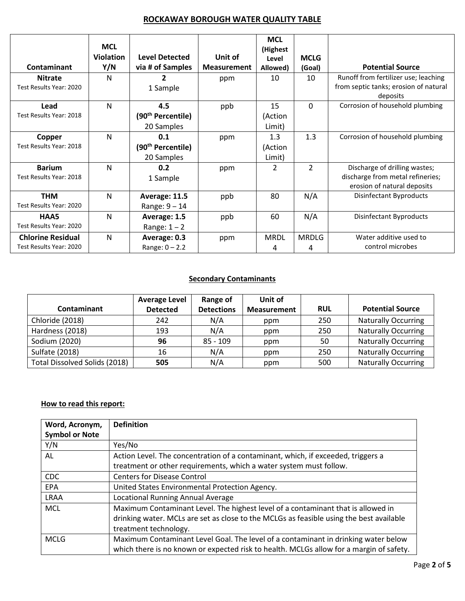### **ROCKAWAY BOROUGH WATER QUALITY TABLE**

| <b>Contaminant</b>                        | <b>MCL</b><br><b>Violation</b><br>Y/N | <b>Level Detected</b><br>via # of Samples | Unit of<br><b>Measurement</b> | <b>MCL</b><br>(Highest<br>Level<br>Allowed) | <b>MCLG</b><br>(Goal) | <b>Potential Source</b>                                                       |
|-------------------------------------------|---------------------------------------|-------------------------------------------|-------------------------------|---------------------------------------------|-----------------------|-------------------------------------------------------------------------------|
| <b>Nitrate</b><br>Test Results Year: 2020 | N                                     | 1 Sample                                  | ppm                           | 10                                          | 10                    | Runoff from fertilizer use; leaching<br>from septic tanks; erosion of natural |
|                                           |                                       |                                           |                               |                                             |                       | deposits                                                                      |
| Lead                                      | N                                     | 4.5                                       | ppb                           | 15                                          | $\Omega$              | Corrosion of household plumbing                                               |
| Test Results Year: 2018                   |                                       | (90 <sup>th</sup> Percentile)             |                               | (Action                                     |                       |                                                                               |
|                                           |                                       | 20 Samples                                |                               | Limit)                                      |                       |                                                                               |
| Copper                                    | $\mathsf{N}$                          | 0.1                                       | ppm                           | 1.3                                         | 1.3                   | Corrosion of household plumbing                                               |
| Test Results Year: 2018                   |                                       | (90 <sup>th</sup> Percentile)             |                               | (Action                                     |                       |                                                                               |
|                                           |                                       | 20 Samples                                |                               | Limit)                                      |                       |                                                                               |
| <b>Barium</b>                             | N                                     | 0.2                                       | ppm                           | 2                                           | 2                     | Discharge of drilling wastes;                                                 |
| Test Results Year: 2018                   |                                       | 1 Sample                                  |                               |                                             |                       | discharge from metal refineries;                                              |
|                                           |                                       |                                           |                               |                                             |                       | erosion of natural deposits                                                   |
| <b>THM</b>                                | N                                     | Average: 11.5                             | ppb                           | 80                                          | N/A                   | <b>Disinfectant Byproducts</b>                                                |
| Test Results Year: 2020                   |                                       | Range: $9 - 14$                           |                               |                                             |                       |                                                                               |
| HAA5                                      | N                                     | Average: 1.5                              | ppb                           | 60                                          | N/A                   | Disinfectant Byproducts                                                       |
| Test Results Year: 2020                   |                                       | Range: $1 - 2$                            |                               |                                             |                       |                                                                               |
| <b>Chlorine Residual</b>                  | N                                     | Average: 0.3                              | ppm                           | <b>MRDL</b>                                 | <b>MRDLG</b>          | Water additive used to                                                        |
| Test Results Year: 2020                   |                                       | Range: $0 - 2.2$                          |                               | 4                                           | 4                     | control microbes                                                              |

### **Secondary Contaminants**

|                               | <b>Average Level</b> | Range of          | Unit of            |            |                            |  |  |
|-------------------------------|----------------------|-------------------|--------------------|------------|----------------------------|--|--|
| <b>Contaminant</b>            | <b>Detected</b>      | <b>Detections</b> | <b>Measurement</b> | <b>RUL</b> | <b>Potential Source</b>    |  |  |
| Chloride (2018)               | 242                  | N/A               | ppm                | 250        | <b>Naturally Occurring</b> |  |  |
| Hardness (2018)               | 193                  | N/A               | ppm                | 250        | <b>Naturally Occurring</b> |  |  |
| Sodium (2020)                 | 96                   | $85 - 109$        | ppm                | 50         | <b>Naturally Occurring</b> |  |  |
| Sulfate (2018)                | 16                   | N/A               | ppm                | 250        | <b>Naturally Occurring</b> |  |  |
| Total Dissolved Solids (2018) | 505                  | N/A               | ppm                | 500        | <b>Naturally Occurring</b> |  |  |

### **How to read this report:**

| Word, Acronym,        | <b>Definition</b>                                                                       |
|-----------------------|-----------------------------------------------------------------------------------------|
| <b>Symbol or Note</b> |                                                                                         |
| Y/N                   | Yes/No                                                                                  |
| AL                    | Action Level. The concentration of a contaminant, which, if exceeded, triggers a        |
|                       | treatment or other requirements, which a water system must follow.                      |
| <b>CDC</b>            | <b>Centers for Disease Control</b>                                                      |
| <b>EPA</b>            | United States Environmental Protection Agency.                                          |
| <b>LRAA</b>           | Locational Running Annual Average                                                       |
| <b>MCL</b>            | Maximum Contaminant Level. The highest level of a contaminant that is allowed in        |
|                       | drinking water. MCLs are set as close to the MCLGs as feasible using the best available |
|                       | treatment technology.                                                                   |
| <b>MCLG</b>           | Maximum Contaminant Level Goal. The level of a contaminant in drinking water below      |
|                       | which there is no known or expected risk to health. MCLGs allow for a margin of safety. |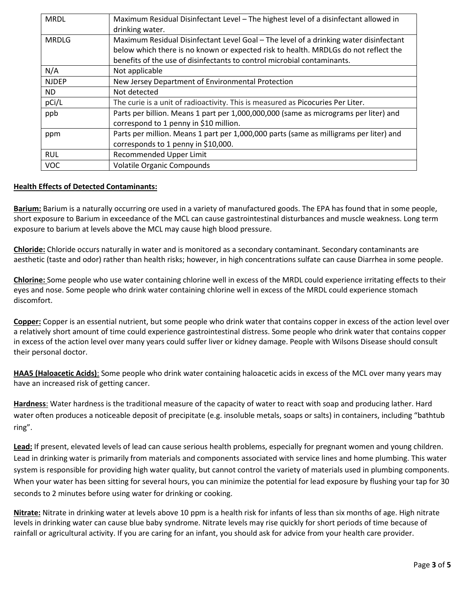| <b>MRDL</b>  | Maximum Residual Disinfectant Level - The highest level of a disinfectant allowed in<br>drinking water.                                                        |
|--------------|----------------------------------------------------------------------------------------------------------------------------------------------------------------|
| <b>MRDLG</b> | Maximum Residual Disinfectant Level Goal – The level of a drinking water disinfectant                                                                          |
|              | below which there is no known or expected risk to health. MRDLGs do not reflect the<br>benefits of the use of disinfectants to control microbial contaminants. |
| N/A          | Not applicable                                                                                                                                                 |
| <b>NJDEP</b> | New Jersey Department of Environmental Protection                                                                                                              |
| ND.          | Not detected                                                                                                                                                   |
| pCi/L        | The curie is a unit of radioactivity. This is measured as Picocuries Per Liter.                                                                                |
| ppb          | Parts per billion. Means 1 part per 1,000,000,000 (same as micrograms per liter) and                                                                           |
|              | correspond to 1 penny in \$10 million.                                                                                                                         |
| ppm          | Parts per million. Means 1 part per 1,000,000 parts (same as milligrams per liter) and                                                                         |
|              | corresponds to 1 penny in \$10,000.                                                                                                                            |
| <b>RUL</b>   | Recommended Upper Limit                                                                                                                                        |
| <b>VOC</b>   | <b>Volatile Organic Compounds</b>                                                                                                                              |

### **Health Effects of Detected Contaminants:**

**Barium:** Barium is a naturally occurring ore used in a variety of manufactured goods. The EPA has found that in some people, short exposure to Barium in exceedance of the MCL can cause gastrointestinal disturbances and muscle weakness. Long term exposure to barium at levels above the MCL may cause high blood pressure.

**Chloride:** Chloride occurs naturally in water and is monitored as a secondary contaminant. Secondary contaminants are aesthetic (taste and odor) rather than health risks; however, in high concentrations sulfate can cause Diarrhea in some people.

**Chlorine:** Some people who use water containing chlorine well in excess of the MRDL could experience irritating effects to their eyes and nose. Some people who drink water containing chlorine well in excess of the MRDL could experience stomach discomfort.

**Copper:** Copper is an essential nutrient, but some people who drink water that contains copper in excess of the action level over a relatively short amount of time could experience gastrointestinal distress. Some people who drink water that contains copper in excess of the action level over many years could suffer liver or kidney damage. People with Wilsons Disease should consult their personal doctor.

**HAA5 (Haloacetic Acids)**: Some people who drink water containing haloacetic acids in excess of the MCL over many years may have an increased risk of getting cancer.

**Hardness**: Water hardness is the traditional measure of the capacity of water to react with soap and producing lather. Hard water often produces a noticeable deposit of precipitate (e.g. insoluble metals, soaps or salts) in containers, including "bathtub ring".

**Lead:** If present, elevated levels of lead can cause serious health problems, especially for pregnant women and young children. Lead in drinking water is primarily from materials and components associated with service lines and home plumbing. This water system is responsible for providing high water quality, but cannot control the variety of materials used in plumbing components. When your water has been sitting for several hours, you can minimize the potential for lead exposure by flushing your tap for 30 seconds to 2 minutes before using water for drinking or cooking.

**Nitrate:** Nitrate in drinking water at levels above 10 ppm is a health risk for infants of less than six months of age. High nitrate levels in drinking water can cause blue baby syndrome. Nitrate levels may rise quickly for short periods of time because of rainfall or agricultural activity. If you are caring for an infant, you should ask for advice from your health care provider.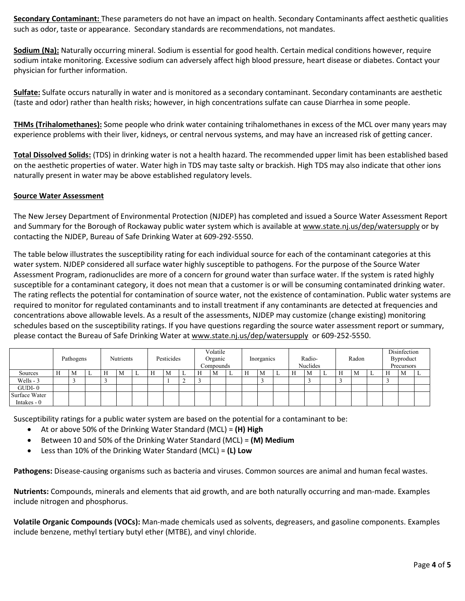**Secondary Contaminant:** These parameters do not have an impact on health. Secondary Contaminants affect aesthetic qualities such as odor, taste or appearance. Secondary standards are recommendations, not mandates.

Sodium (Na): Naturally occurring mineral. Sodium is essential for good health. Certain medical conditions however, require sodium intake monitoring. Excessive sodium can adversely affect high blood pressure, heart disease or diabetes. Contact your physician for further information.

**Sulfate:** Sulfate occurs naturally in water and is monitored as a secondary contaminant. Secondary contaminants are aesthetic (taste and odor) rather than health risks; however, in high concentrations sulfate can cause Diarrhea in some people.

**THMs (Trihalomethanes):** Some people who drink water containing trihalomethanes in excess of the MCL over many years may experience problems with their liver, kidneys, or central nervous systems, and may have an increased risk of getting cancer.

**Total Dissolved Solids:** (TDS) in drinking water is not a health hazard. The recommended upper limit has been established based on the aesthetic properties of water. Water high in TDS may taste salty or brackish. High TDS may also indicate that other ions naturally present in water may be above established regulatory levels.

### **Source Water Assessment**

The New Jersey Department of Environmental Protection (NJDEP) has completed and issued a Source Water Assessment Report and Summary for the Borough of Rockaway public water system which is available at www.state.nj.us/dep/watersupply or by contacting the NJDEP, Bureau of Safe Drinking Water at 609-292-5550.

The table below illustrates the susceptibility rating for each individual source for each of the contaminant categories at this water system. NJDEP considered all surface water highly susceptible to pathogens. For the purpose of the Source Water Assessment Program, radionuclides are more of a concern for ground water than surface water. If the system is rated highly susceptible for a contaminant category, it does not mean that a customer is or will be consuming contaminated drinking water. The rating reflects the potential for contamination of source water, not the existence of contamination. Public water systems are required to monitor for regulated contaminants and to install treatment if any contaminants are detected at frequencies and concentrations above allowable levels. As a result of the assessments, NJDEP may customize (change existing) monitoring schedules based on the susceptibility ratings. If you have questions regarding the source water assessment report or summary, please contact the Bureau of Safe Drinking Water a[t www.state.nj.us/dep/watersupply](http://www.state.nj.us/dep/watersupply) or 609-252-5550.

|               | Pathogens |   | Nutrients |   | Pesticides |  |   | Volatile<br>Organic<br>Compounds |   |                      | Inorganics |  |   | Radio-<br>Nuclides |  |   | Radon        |   |  | Disinfection<br>Byproduct<br>Precursors |   |   |   |  |
|---------------|-----------|---|-----------|---|------------|--|---|----------------------------------|---|----------------------|------------|--|---|--------------------|--|---|--------------|---|--|-----------------------------------------|---|---|---|--|
| Sources       | Н         | M | ∸         | Н | M          |  | н | М                                | ∸ | Н                    | M          |  | Н | M                  |  | Н | $^{\circ}$ M | ∸ |  | M                                       | ∸ | Н | M |  |
| Wells - 3     |           |   |           |   |            |  |   |                                  | - | $\ddot{\phantom{0}}$ |            |  |   |                    |  |   |              |   |  |                                         |   |   |   |  |
| $GUDI-0$      |           |   |           |   |            |  |   |                                  |   |                      |            |  |   |                    |  |   |              |   |  |                                         |   |   |   |  |
| Surface Water |           |   |           |   |            |  |   |                                  |   |                      |            |  |   |                    |  |   |              |   |  |                                         |   |   |   |  |
| Intakes $-0$  |           |   |           |   |            |  |   |                                  |   |                      |            |  |   |                    |  |   |              |   |  |                                         |   |   |   |  |

Susceptibility ratings for a public water system are based on the potential for a contaminant to be:

- At or above 50% of the Drinking Water Standard (MCL) = **(H) High**
- Between 10 and 50% of the Drinking Water Standard (MCL) = **(M) Medium**
- Less than 10% of the Drinking Water Standard (MCL) = **(L) Low**

**Pathogens:** Disease-causing organisms such as bacteria and viruses. Common sources are animal and human fecal wastes.

**Nutrients:** Compounds, minerals and elements that aid growth, and are both naturally occurring and man-made. Examples include nitrogen and phosphorus.

**Volatile Organic Compounds (VOCs):** Man-made chemicals used as solvents, degreasers, and gasoline components. Examples include benzene, methyl tertiary butyl ether (MTBE), and vinyl chloride.